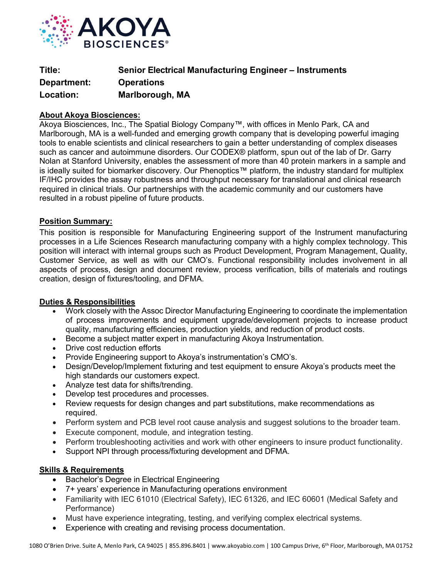

| Title:      | <b>Senior Electrical Manufacturing Engineer – Instruments</b> |
|-------------|---------------------------------------------------------------|
| Department: | <b>Operations</b>                                             |
| Location:   | Marlborough, MA                                               |

## **About Akoya Biosciences:**

Akoya Biosciences, Inc., The Spatial Biology Company™, with offices in Menlo Park, CA and Marlborough, MA is a well-funded and emerging growth company that is developing powerful imaging tools to enable scientists and clinical researchers to gain a better understanding of complex diseases such as cancer and autoimmune disorders. Our CODEX® platform, spun out of the lab of Dr. Garry Nolan at Stanford University, enables the assessment of more than 40 protein markers in a sample and is ideally suited for biomarker discovery. Our Phenoptics™ platform, the industry standard for multiplex IF/IHC provides the assay robustness and throughput necessary for translational and clinical research required in clinical trials. Our partnerships with the academic community and our customers have resulted in a robust pipeline of future products.

## **Position Summary:**

This position is responsible for Manufacturing Engineering support of the Instrument manufacturing processes in a Life Sciences Research manufacturing company with a highly complex technology. This position will interact with internal groups such as Product Development, Program Management, Quality, Customer Service, as well as with our CMO's. Functional responsibility includes involvement in all aspects of process, design and document review, process verification, bills of materials and routings creation, design of fixtures/tooling, and DFMA.

## **Duties & Responsibilities**

- Work closely with the Assoc Director Manufacturing Engineering to coordinate the implementation of process improvements and equipment upgrade/development projects to increase product quality, manufacturing efficiencies, production yields, and reduction of product costs.
- Become a subject matter expert in manufacturing Akoya Instrumentation.
- Drive cost reduction efforts
- Provide Engineering support to Akoya's instrumentation's CMO's.
- Design/Develop/Implement fixturing and test equipment to ensure Akoya's products meet the high standards our customers expect.
- Analyze test data for shifts/trending.
- Develop test procedures and processes.
- Review requests for design changes and part substitutions, make recommendations as required.
- Perform system and PCB level root cause analysis and suggest solutions to the broader team.
- Execute component, module, and integration testing.
- Perform troubleshooting activities and work with other engineers to insure product functionality.
- Support NPI through process/fixturing development and DFMA.

## **Skills & Requirements**

- Bachelor's Degree in Electrical Engineering
- 7+ years' experience in Manufacturing operations environment
- Familiarity with IEC 61010 (Electrical Safety), IEC 61326, and IEC 60601 (Medical Safety and Performance)
- Must have experience integrating, testing, and verifying complex electrical systems.
- Experience with creating and revising process documentation.